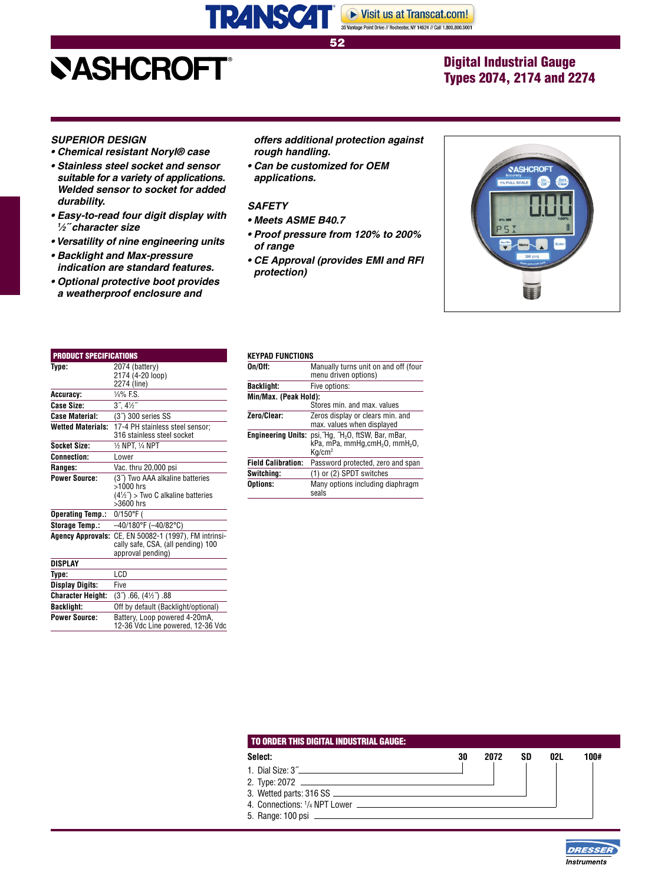## **NASHCROFT®**

## Digital Industrial Gauge Types 2074, 2174 and 2274

52  $\sim$  533  $\sim$  533  $\sim$  533  $\sim$  533  $\sim$  533  $\sim$  533  $\sim$ 

#### **SUPERIOR DESIGN**

- **Chemical resistant Noryl® case**
- **Stainless steel socket and sensor suitable for a variety of applications. Welded sensor to socket for added durability.**
- **Easy-to-read four digit display with 1 ⁄2˝ character size**
- **Versatility of nine engineering units**
- **Backlight and Max-pressure indication are standard features.**
- **Optional protective boot provides a weatherproof enclosure and**

#### **offers additional protection against rough handling.**

▶ Visit us at Transcat.com! 35 Vantage Point Drive // Rochester, NY 14624 // Call 1.800.800.5001

**• Can be customized for OEM applications.**

#### **SAFETY**

**TRANSCAT®** 

- **Meets ASME B40.7**
- **Proof pressure from 120% to 200% of range**
- **CE Approval (provides EMI and RFI protection)**



| <b>PRODUCT SPECIFICATIONS</b> |                                                                                                                           |
|-------------------------------|---------------------------------------------------------------------------------------------------------------------------|
| Type:                         | 2074 (battery)<br>2174 (4-20 loop)<br>2274 (line)                                                                         |
| Accuracy:                     | $1/4\%$ F.S.                                                                                                              |
| Case Size:                    | $3^{\prime\prime}$ , $4\frac{1}{2}^{\prime\prime}$                                                                        |
| <b>Case Material:</b>         | (3 <sup>7</sup> ) 300 series SS                                                                                           |
| <b>Wetted Materials:</b>      | 17-4 PH stainless steel sensor;<br>316 stainless steel socket                                                             |
| Socket Size:                  | 1⁄2 NPT. 1⁄4 NPT                                                                                                          |
| <b>Connection:</b>            | I ower                                                                                                                    |
| Ranges:                       | Vac. thru 20,000 psi                                                                                                      |
| <b>Power Source:</b>          | (3 <sup>"</sup> ) Two AAA alkaline batteries<br>$>1000$ hrs<br>$(4\frac{1}{2})$ > Two C alkaline batteries<br>$>3600$ hrs |
| <b>Operating Temp.:</b>       | 0/150°F (                                                                                                                 |
| Storage Temp.:                | $-40/180$ °F ( $-40/82$ °C)                                                                                               |
| <b>Agency Approvals:</b>      | CE, EN 50082-1 (1997), FM intrinsi-<br>cally safe, CSA, (all pending) 100<br>approval pending)                            |
| DISPLAY                       |                                                                                                                           |
| Type:                         | LCD                                                                                                                       |
| <b>Display Digits:</b>        | Five                                                                                                                      |
| <b>Character Height:</b>      | $(3^{\circ})$ .66, $(4\frac{1}{2})$ .88                                                                                   |
| <b>Backlight:</b>             | Off by default (Backlight/optional)                                                                                       |
| <b>Power Source:</b>          | Battery, Loop powered 4-20mA,<br>12-36 Vdc Line powered, 12-36 Vdc                                                        |
|                               |                                                                                                                           |

#### **KEYPAD FUNCTIONS**

| Manually turns unit on and off (four                       |  |  |  |  |  |
|------------------------------------------------------------|--|--|--|--|--|
|                                                            |  |  |  |  |  |
|                                                            |  |  |  |  |  |
| Min/Max. (Peak Hold):<br>Stores min. and max. values       |  |  |  |  |  |
|                                                            |  |  |  |  |  |
|                                                            |  |  |  |  |  |
| $kPa$ , mPa, mmHg, cmH <sub>2</sub> O, mmH <sub>2</sub> O, |  |  |  |  |  |
| Password protected, zero and span                          |  |  |  |  |  |
|                                                            |  |  |  |  |  |
| Many options including diaphragm                           |  |  |  |  |  |
|                                                            |  |  |  |  |  |

| Select:                                               | 30 | 2072 | SD | 02L | 100# |
|-------------------------------------------------------|----|------|----|-----|------|
| 1. Dial Size: 3"                                      |    |      |    |     |      |
|                                                       |    |      |    |     |      |
|                                                       |    |      |    |     |      |
| 4. Connections: <sup>1</sup> / <sub>4</sub> NPT Lower |    |      |    |     |      |
|                                                       |    |      |    |     |      |

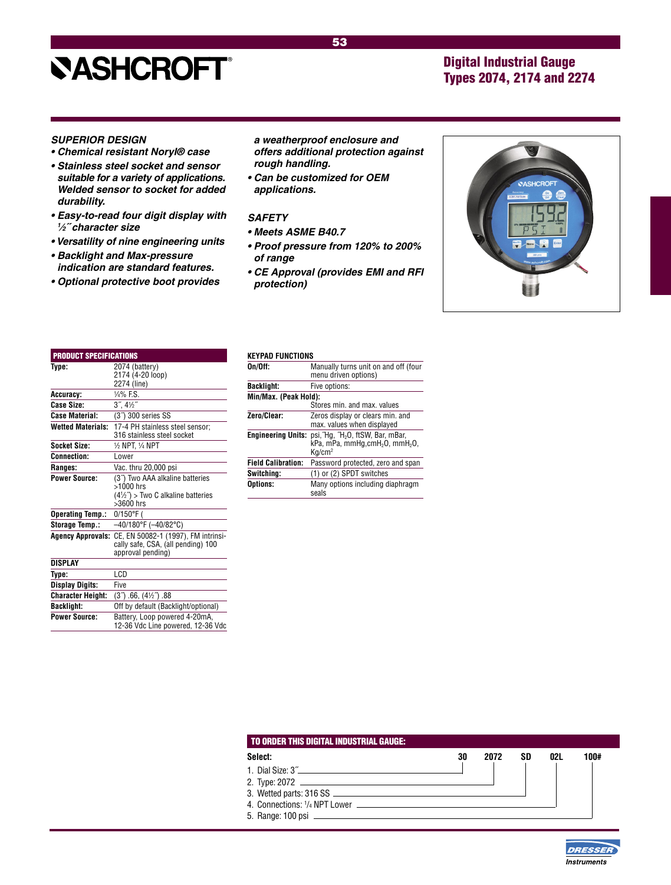# **NASHCROFT®**

## Digital Industrial Gauge Types 2074, 2174 and 2274

#### **SUPERIOR DESIGN**

- **Chemical resistant Noryl® case**
- **Stainless steel socket and sensor suitable for a variety of applications. Welded sensor to socket for added durability.**
- **Easy-to-read four digit display with 1 ⁄2˝ character size**
- **Versatility of nine engineering units**
- **Backlight and Max-pressure indication are standard features.**
- **Optional protective boot provides**

#### **a weatherproof enclosure and offers additional protection against rough handling.**

**• Can be customized for OEM applications.**

#### **SAFETY**

- **Meets ASME B40.7**
- **Proof pressure from 120% to 200% of range**
- **CE Approval (provides EMI and RFI protection)**



| <b>PRODUCT SPECIFICATIONS</b> |                                                                                                                         |
|-------------------------------|-------------------------------------------------------------------------------------------------------------------------|
| Type:                         | 2074 (battery)<br>2174 (4-20 loop)<br>2274 (line)                                                                       |
| Accuracy:                     | $\frac{1}{4}$ % F.S.                                                                                                    |
| Case Size:                    | $3^{\prime\prime}$ , $4\frac{1}{2}^{\prime\prime}$                                                                      |
| <b>Case Material:</b>         | (3 <sup>7</sup> ) 300 series SS                                                                                         |
| <b>Wetted Materials:</b>      | 17-4 PH stainless steel sensor;<br>316 stainless steel socket                                                           |
| <b>Socket Size:</b>           | 1/2 NPT. 1/4 NPT                                                                                                        |
| <b>Connection:</b>            | Lower                                                                                                                   |
| Ranges:                       | Vac. thru 20,000 psi                                                                                                    |
| <b>Power Source:</b>          | (3 <sup>"</sup> ) Two AAA alkaline batteries<br>>1000 hrs<br>$(4\frac{1}{2})$ > Two C alkaline batteries<br>$>3600$ hrs |
| <b>Operating Temp.:</b>       | 0/150°F (                                                                                                               |
| Storage Temp.:                | $-40/180$ °F ( $-40/82$ °C)                                                                                             |
| <b>Agency Approvals:</b>      | CE, EN 50082-1 (1997), FM intrinsi-<br>cally safe, CSA, (all pending) 100<br>approval pending)                          |
| <b>DISPLAY</b>                |                                                                                                                         |
| Type:                         | LCD                                                                                                                     |
| <b>Display Digits:</b>        | Five                                                                                                                    |
| <b>Character Height:</b>      | $(37)$ .66, $(4\frac{1}{2})$ .88                                                                                        |
| <b>Backlight:</b>             | Off by default (Backlight/optional)                                                                                     |
| <b>Power Source:</b>          | Battery, Loop powered 4-20mA,<br>12-36 Vdc Line powered, 12-36 Vdc                                                      |
|                               |                                                                                                                         |

#### **KEYPAD FUNCTIONS**

| . <i>.</i>                |                                                                                                                                 |  |  |  |  |
|---------------------------|---------------------------------------------------------------------------------------------------------------------------------|--|--|--|--|
| On/Off:                   | Manually turns unit on and off (four<br>menu driven options)                                                                    |  |  |  |  |
| Backlight:                | Five options:                                                                                                                   |  |  |  |  |
| Min/Max. (Peak Hold):     |                                                                                                                                 |  |  |  |  |
|                           | Stores min, and max, values                                                                                                     |  |  |  |  |
| Zero/Clear:               | Zeros display or clears min. and<br>max. values when displayed                                                                  |  |  |  |  |
| Engineering Units:        | psi, Hg, H <sub>2</sub> O, ftSW, Bar, mBar,<br>$kPa$ , mPa, mmHg, cmH <sub>2</sub> O, mmH <sub>2</sub> O,<br>Ka/cm <sup>2</sup> |  |  |  |  |
| <b>Field Calibration:</b> | Password protected, zero and span                                                                                               |  |  |  |  |
| Switchina:                | (1) or (2) SPDT switches                                                                                                        |  |  |  |  |
| Options:                  | Many options including diaphragm<br>seals                                                                                       |  |  |  |  |
|                           |                                                                                                                                 |  |  |  |  |

| Select:                                                | 30 | 2072 | SD | 02L | 100# |
|--------------------------------------------------------|----|------|----|-----|------|
| 1. Dial Size: 3"                                       |    |      |    |     |      |
|                                                        |    |      |    |     |      |
|                                                        |    |      |    |     |      |
| 4. Connections: <sup>1</sup> / <sub>4</sub> NPT I ower |    |      |    |     |      |
|                                                        |    |      |    |     |      |